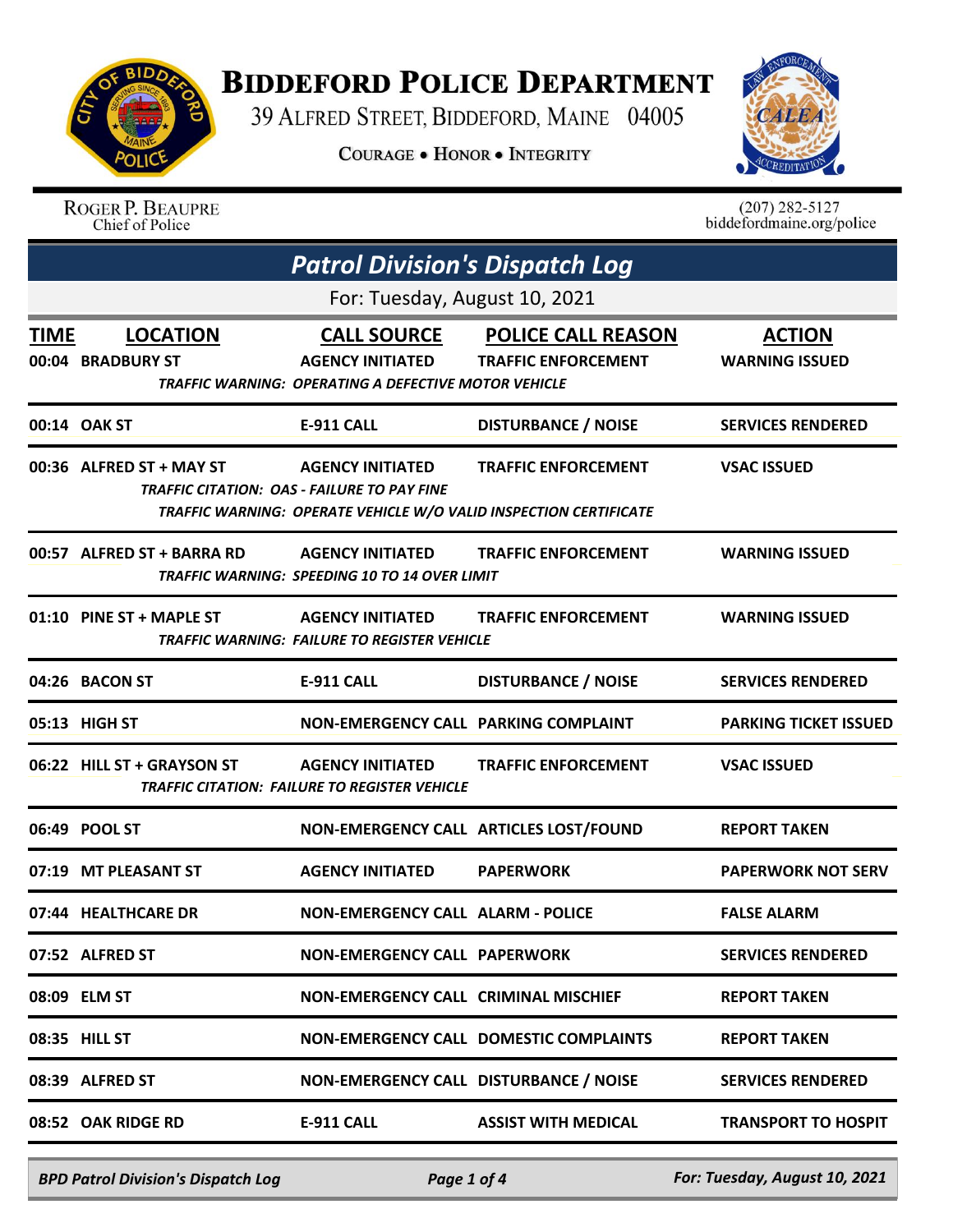

## **BIDDEFORD POLICE DEPARTMENT**

39 ALFRED STREET, BIDDEFORD, MAINE 04005

**COURAGE . HONOR . INTEGRITY** 



ROGER P. BEAUPRE<br>Chief of Police

 $(207)$  282-5127<br>biddefordmaine.org/police

| <b>Patrol Division's Dispatch Log</b> |                                      |                                                                                                       |                                                                                                 |                                        |  |
|---------------------------------------|--------------------------------------|-------------------------------------------------------------------------------------------------------|-------------------------------------------------------------------------------------------------|----------------------------------------|--|
|                                       | For: Tuesday, August 10, 2021        |                                                                                                       |                                                                                                 |                                        |  |
| <b>TIME</b>                           | <b>LOCATION</b><br>00:04 BRADBURY ST | <b>CALL SOURCE</b><br><b>AGENCY INITIATED</b><br>TRAFFIC WARNING: OPERATING A DEFECTIVE MOTOR VEHICLE | <b>POLICE CALL REASON</b><br><b>TRAFFIC ENFORCEMENT</b>                                         | <b>ACTION</b><br><b>WARNING ISSUED</b> |  |
|                                       | 00:14 OAK ST                         | <b>E-911 CALL</b>                                                                                     | <b>DISTURBANCE / NOISE</b>                                                                      | <b>SERVICES RENDERED</b>               |  |
|                                       | 00:36 ALFRED ST + MAY ST             | <b>AGENCY INITIATED</b><br><b>TRAFFIC CITATION: OAS - FAILURE TO PAY FINE</b>                         | <b>TRAFFIC ENFORCEMENT</b><br>TRAFFIC WARNING: OPERATE VEHICLE W/O VALID INSPECTION CERTIFICATE | <b>VSAC ISSUED</b>                     |  |
|                                       | 00:57 ALFRED ST + BARRA RD           | <b>AGENCY INITIATED</b><br>TRAFFIC WARNING: SPEEDING 10 TO 14 OVER LIMIT                              | <b>TRAFFIC ENFORCEMENT</b>                                                                      | <b>WARNING ISSUED</b>                  |  |
|                                       | 01:10 PINE ST + MAPLE ST             | <b>AGENCY INITIATED</b><br>TRAFFIC WARNING: FAILURE TO REGISTER VEHICLE                               | <b>TRAFFIC ENFORCEMENT</b>                                                                      | <b>WARNING ISSUED</b>                  |  |
|                                       | 04:26 BACON ST                       | <b>E-911 CALL</b>                                                                                     | <b>DISTURBANCE / NOISE</b>                                                                      | <b>SERVICES RENDERED</b>               |  |
|                                       | 05:13 HIGH ST                        | NON-EMERGENCY CALL PARKING COMPLAINT                                                                  |                                                                                                 | <b>PARKING TICKET ISSUED</b>           |  |
|                                       | 06:22 HILL ST + GRAYSON ST           | <b>AGENCY INITIATED</b><br>TRAFFIC CITATION: FAILURE TO REGISTER VEHICLE                              | <b>TRAFFIC ENFORCEMENT</b>                                                                      | <b>VSAC ISSUED</b>                     |  |
|                                       | 06:49 POOL ST                        |                                                                                                       | NON-EMERGENCY CALL ARTICLES LOST/FOUND                                                          | <b>REPORT TAKEN</b>                    |  |
|                                       | 07:19 MT PLEASANT ST                 | <b>AGENCY INITIATED</b>                                                                               | <b>PAPERWORK</b>                                                                                | <b>PAPERWORK NOT SERV</b>              |  |
|                                       | 07:44 HEALTHCARE DR                  | <b>NON-EMERGENCY CALL ALARM - POLICE</b>                                                              |                                                                                                 | <b>FALSE ALARM</b>                     |  |
|                                       | 07:52 ALFRED ST                      | <b>NON-EMERGENCY CALL PAPERWORK</b>                                                                   |                                                                                                 | <b>SERVICES RENDERED</b>               |  |
|                                       | 08:09 ELM ST                         | <b>NON-EMERGENCY CALL CRIMINAL MISCHIEF</b>                                                           |                                                                                                 | <b>REPORT TAKEN</b>                    |  |
|                                       | 08:35 HILL ST                        |                                                                                                       | <b>NON-EMERGENCY CALL DOMESTIC COMPLAINTS</b>                                                   | <b>REPORT TAKEN</b>                    |  |
|                                       | 08:39 ALFRED ST                      | NON-EMERGENCY CALL DISTURBANCE / NOISE                                                                |                                                                                                 | <b>SERVICES RENDERED</b>               |  |
|                                       | 08:52 OAK RIDGE RD                   | <b>E-911 CALL</b>                                                                                     | <b>ASSIST WITH MEDICAL</b>                                                                      | <b>TRANSPORT TO HOSPIT</b>             |  |
|                                       |                                      |                                                                                                       |                                                                                                 |                                        |  |

*BPD Patrol Division's Dispatch Log Page 1 of 4 For: Tuesday, August 10, 2021*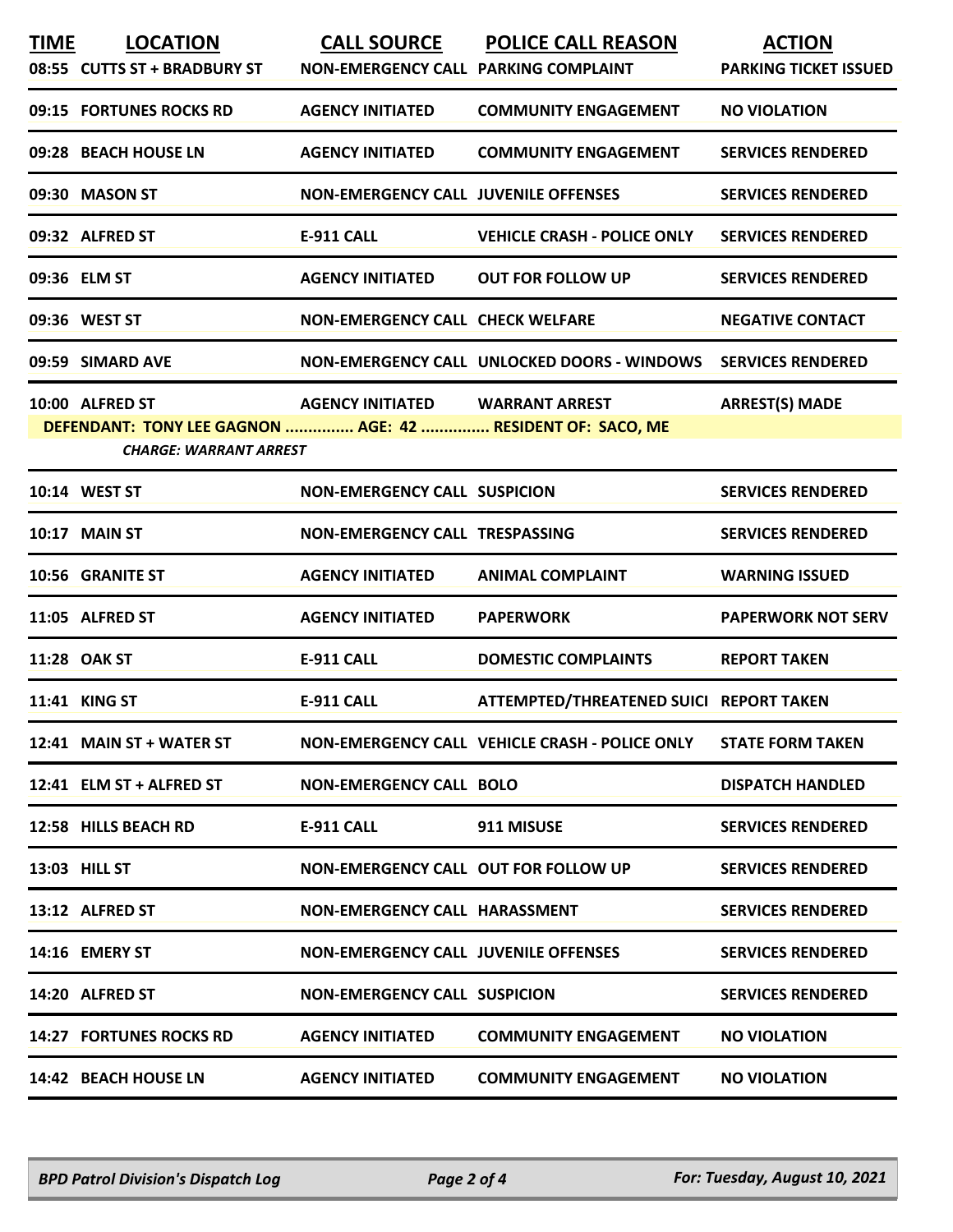| <b>TIME</b> | <b>LOCATION</b><br>08:55 CUTTS ST + BRADBURY ST            | <b>CALL SOURCE</b><br>NON-EMERGENCY CALL PARKING COMPLAINT | <b>POLICE CALL REASON</b>                      | <b>ACTION</b><br><b>PARKING TICKET ISSUED</b> |
|-------------|------------------------------------------------------------|------------------------------------------------------------|------------------------------------------------|-----------------------------------------------|
|             | 09:15 FORTUNES ROCKS RD                                    | <b>AGENCY INITIATED</b>                                    | <b>COMMUNITY ENGAGEMENT</b>                    | <b>NO VIOLATION</b>                           |
|             | 09:28 BEACH HOUSE LN                                       | <b>AGENCY INITIATED</b>                                    | <b>COMMUNITY ENGAGEMENT</b>                    | <b>SERVICES RENDERED</b>                      |
|             | 09:30 MASON ST                                             | <b>NON-EMERGENCY CALL JUVENILE OFFENSES</b>                |                                                | <b>SERVICES RENDERED</b>                      |
|             | 09:32 ALFRED ST                                            | <b>E-911 CALL</b>                                          | <b>VEHICLE CRASH - POLICE ONLY</b>             | <b>SERVICES RENDERED</b>                      |
|             | 09:36 ELM ST                                               | <b>AGENCY INITIATED</b>                                    | <b>OUT FOR FOLLOW UP</b>                       | <b>SERVICES RENDERED</b>                      |
|             | 09:36 WEST ST                                              | <b>NON-EMERGENCY CALL CHECK WELFARE</b>                    |                                                | <b>NEGATIVE CONTACT</b>                       |
|             | 09:59 SIMARD AVE                                           |                                                            | NON-EMERGENCY CALL UNLOCKED DOORS - WINDOWS    | <b>SERVICES RENDERED</b>                      |
|             | 10:00 ALFRED ST                                            | AGENCY INITIATED WARRANT ARREST                            |                                                | <b>ARREST(S) MADE</b>                         |
|             | DEFENDANT: TONY LEE GAGNON  AGE: 42  RESIDENT OF: SACO, ME |                                                            |                                                |                                               |
|             | <b>CHARGE: WARRANT ARREST</b>                              |                                                            |                                                |                                               |
|             | 10:14 WEST ST                                              | <b>NON-EMERGENCY CALL SUSPICION</b>                        |                                                | <b>SERVICES RENDERED</b>                      |
|             | 10:17 MAIN ST                                              | NON-EMERGENCY CALL TRESPASSING                             |                                                | <b>SERVICES RENDERED</b>                      |
|             | 10:56 GRANITE ST                                           | <b>AGENCY INITIATED</b>                                    | <b>ANIMAL COMPLAINT</b>                        | <b>WARNING ISSUED</b>                         |
|             | 11:05 ALFRED ST                                            | <b>AGENCY INITIATED</b>                                    | <b>PAPERWORK</b>                               | <b>PAPERWORK NOT SERV</b>                     |
|             | 11:28 OAK ST                                               | <b>E-911 CALL</b>                                          | <b>DOMESTIC COMPLAINTS</b>                     | <b>REPORT TAKEN</b>                           |
|             | 11:41 KING ST                                              | <b>E-911 CALL</b>                                          | ATTEMPTED/THREATENED SUICI REPORT TAKEN        |                                               |
|             | 12:41 MAIN ST + WATER ST                                   |                                                            | NON-EMERGENCY CALL VEHICLE CRASH - POLICE ONLY | <b>STATE FORM TAKEN</b>                       |
|             | 12:41 ELM ST + ALFRED ST                                   | <b>NON-EMERGENCY CALL BOLO</b>                             |                                                | <b>DISPATCH HANDLED</b>                       |
|             | 12:58 HILLS BEACH RD                                       | E-911 CALL                                                 | 911 MISUSE                                     | <b>SERVICES RENDERED</b>                      |
|             | 13:03 HILL ST                                              | NON-EMERGENCY CALL OUT FOR FOLLOW UP                       |                                                | <b>SERVICES RENDERED</b>                      |
|             | 13:12 ALFRED ST                                            | NON-EMERGENCY CALL HARASSMENT                              |                                                | <b>SERVICES RENDERED</b>                      |
|             | 14:16 EMERY ST                                             | <b>NON-EMERGENCY CALL JUVENILE OFFENSES</b>                |                                                | <b>SERVICES RENDERED</b>                      |
|             | 14:20 ALFRED ST                                            | <b>NON-EMERGENCY CALL SUSPICION</b>                        |                                                | <b>SERVICES RENDERED</b>                      |
|             | <b>14:27 FORTUNES ROCKS RD</b>                             | <b>AGENCY INITIATED</b>                                    | <b>COMMUNITY ENGAGEMENT</b>                    | <b>NO VIOLATION</b>                           |
|             | 14:42 BEACH HOUSE LN                                       | <b>AGENCY INITIATED</b>                                    | <b>COMMUNITY ENGAGEMENT</b>                    | <b>NO VIOLATION</b>                           |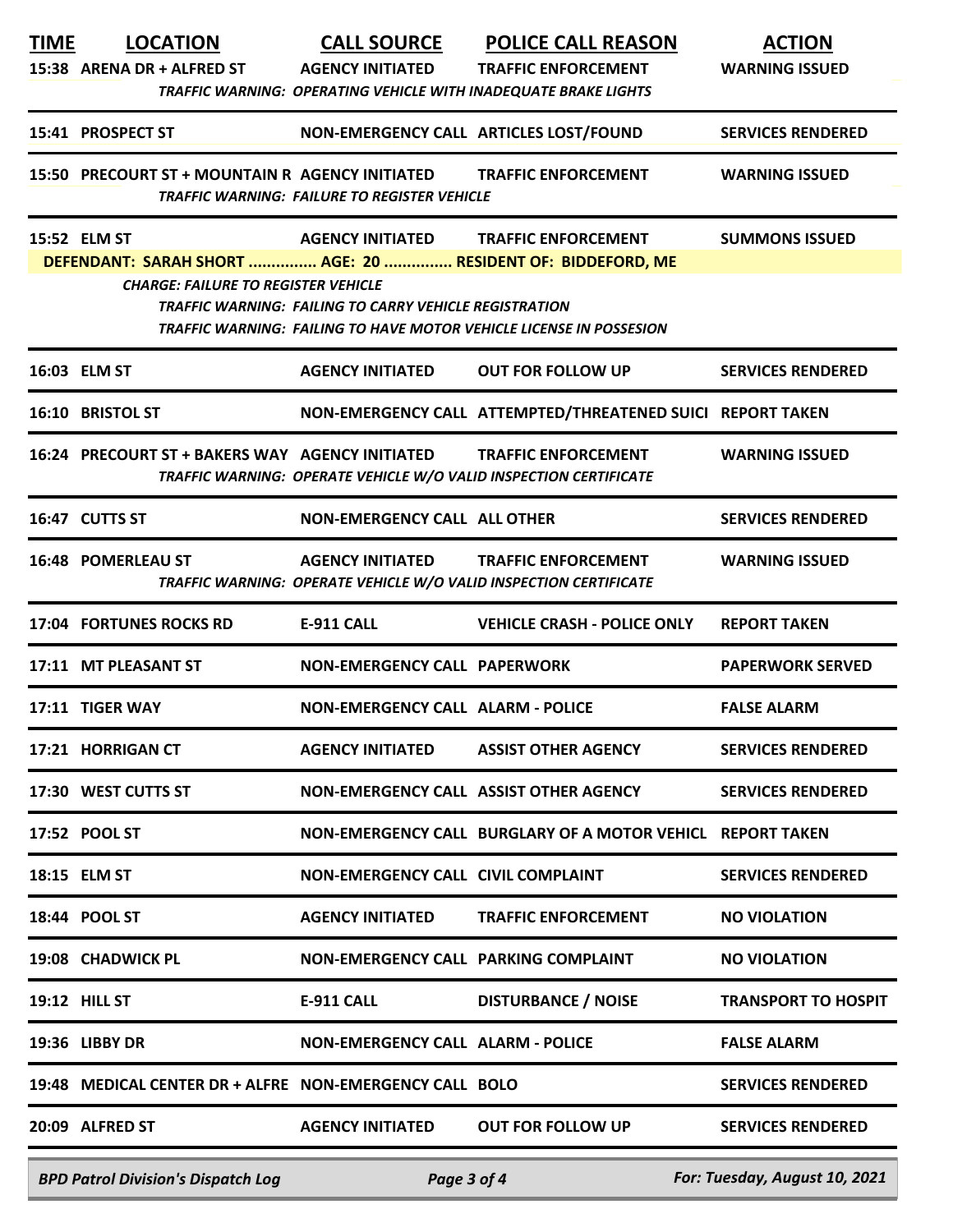| <b>TIME</b>                                              | <b>LOCATION</b>                                                                                           | <b>CALL SOURCE</b>                                            | <b>POLICE CALL REASON</b>                                                  | <b>ACTION</b>                 |
|----------------------------------------------------------|-----------------------------------------------------------------------------------------------------------|---------------------------------------------------------------|----------------------------------------------------------------------------|-------------------------------|
|                                                          | 15:38 ARENA DR + ALFRED ST AGENCY INITIATED                                                               |                                                               | <b>TRAFFIC ENFORCEMENT</b>                                                 | <b>WARNING ISSUED</b>         |
|                                                          |                                                                                                           |                                                               | <b>TRAFFIC WARNING: OPERATING VEHICLE WITH INADEQUATE BRAKE LIGHTS</b>     |                               |
|                                                          | 15:41 PROSPECT ST                                                                                         |                                                               | NON-EMERGENCY CALL ARTICLES LOST/FOUND                                     | <b>SERVICES RENDERED</b>      |
|                                                          | 15:50 PRECOURT ST + MOUNTAIN R AGENCY INITIATED TRAFFIC ENFORCEMENT                                       |                                                               |                                                                            | <b>WARNING ISSUED</b>         |
|                                                          |                                                                                                           | <b>TRAFFIC WARNING: FAILURE TO REGISTER VEHICLE</b>           |                                                                            |                               |
|                                                          | <b>15:52 ELM ST</b>                                                                                       | <b>AGENCY INITIATED</b>                                       | <b>TRAFFIC ENFORCEMENT</b>                                                 | <b>SUMMONS ISSUED</b>         |
|                                                          | DEFENDANT: SARAH SHORT  AGE: 20  RESIDENT OF: BIDDEFORD, ME<br><b>CHARGE: FAILURE TO REGISTER VEHICLE</b> |                                                               |                                                                            |                               |
|                                                          |                                                                                                           | <b>TRAFFIC WARNING: FAILING TO CARRY VEHICLE REGISTRATION</b> |                                                                            |                               |
|                                                          |                                                                                                           |                                                               | <b>TRAFFIC WARNING: FAILING TO HAVE MOTOR VEHICLE LICENSE IN POSSESION</b> |                               |
|                                                          | 16:03 ELM ST                                                                                              | <b>AGENCY INITIATED</b>                                       | <b>OUT FOR FOLLOW UP</b>                                                   | <b>SERVICES RENDERED</b>      |
|                                                          | 16:10 BRISTOL ST                                                                                          |                                                               | NON-EMERGENCY CALL ATTEMPTED/THREATENED SUICI REPORT TAKEN                 |                               |
|                                                          | 16:24 PRECOURT ST + BAKERS WAY AGENCY INITIATED TRAFFIC ENFORCEMENT                                       |                                                               | TRAFFIC WARNING: OPERATE VEHICLE W/O VALID INSPECTION CERTIFICATE          | <b>WARNING ISSUED</b>         |
|                                                          | 16:47 CUTTS ST                                                                                            | NON-EMERGENCY CALL ALL OTHER                                  |                                                                            | <b>SERVICES RENDERED</b>      |
|                                                          | <b>16:48 POMERLEAU ST</b>                                                                                 |                                                               | AGENCY INITIATED TRAFFIC ENFORCEMENT                                       | <b>WARNING ISSUED</b>         |
|                                                          |                                                                                                           |                                                               | TRAFFIC WARNING: OPERATE VEHICLE W/O VALID INSPECTION CERTIFICATE          |                               |
|                                                          | 17:04 FORTUNES ROCKS RD                                                                                   | <b>E-911 CALL</b>                                             | <b>VEHICLE CRASH - POLICE ONLY</b>                                         | <b>REPORT TAKEN</b>           |
|                                                          | 17:11 MT PLEASANT ST                                                                                      | <b>NON-EMERGENCY CALL PAPERWORK</b>                           |                                                                            | <b>PAPERWORK SERVED</b>       |
|                                                          | 17:11 TIGER WAY                                                                                           | <b>NON-EMERGENCY CALL ALARM - POLICE</b>                      |                                                                            | <b>FALSE ALARM</b>            |
|                                                          | 17:21 HORRIGAN CT                                                                                         | <b>AGENCY INITIATED</b>                                       | <b>ASSIST OTHER AGENCY</b>                                                 | <b>SERVICES RENDERED</b>      |
|                                                          | 17:30 WEST CUTTS ST                                                                                       |                                                               | NON-EMERGENCY CALL ASSIST OTHER AGENCY                                     | <b>SERVICES RENDERED</b>      |
|                                                          | 17:52 POOL ST                                                                                             |                                                               | NON-EMERGENCY CALL BURGLARY OF A MOTOR VEHICL REPORT TAKEN                 |                               |
|                                                          | 18:15 ELM ST                                                                                              | <b>NON-EMERGENCY CALL CIVIL COMPLAINT</b>                     |                                                                            | <b>SERVICES RENDERED</b>      |
|                                                          | 18:44 POOL ST                                                                                             | <b>AGENCY INITIATED</b>                                       | <b>TRAFFIC ENFORCEMENT</b>                                                 | <b>NO VIOLATION</b>           |
|                                                          | 19:08 CHADWICK PL                                                                                         | NON-EMERGENCY CALL PARKING COMPLAINT                          |                                                                            | <b>NO VIOLATION</b>           |
|                                                          | <b>19:12 HILL ST</b>                                                                                      | <b>E-911 CALL</b>                                             | <b>DISTURBANCE / NOISE</b>                                                 | <b>TRANSPORT TO HOSPIT</b>    |
|                                                          | 19:36 LIBBY DR                                                                                            | <b>NON-EMERGENCY CALL ALARM - POLICE</b>                      |                                                                            | <b>FALSE ALARM</b>            |
|                                                          | 19:48 MEDICAL CENTER DR + ALFRE NON-EMERGENCY CALL BOLO                                                   |                                                               |                                                                            | <b>SERVICES RENDERED</b>      |
|                                                          | 20:09 ALFRED ST                                                                                           | <b>AGENCY INITIATED</b>                                       | <b>OUT FOR FOLLOW UP</b>                                                   | <b>SERVICES RENDERED</b>      |
| <b>BPD Patrol Division's Dispatch Log</b><br>Page 3 of 4 |                                                                                                           |                                                               |                                                                            | For: Tuesday, August 10, 2021 |